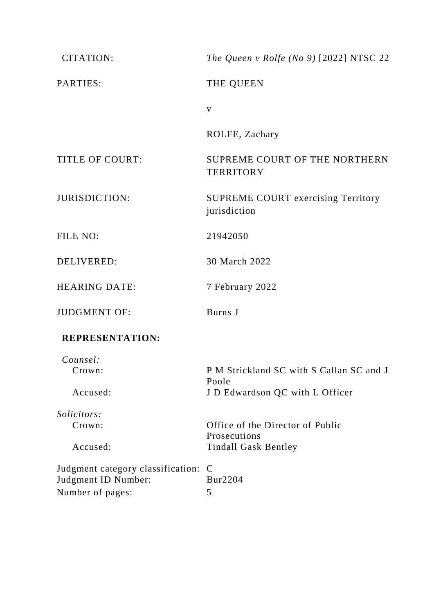| <b>CITATION:</b>                                                               | The Queen v Rolfe (No 9) [2022] NTSC 22            |
|--------------------------------------------------------------------------------|----------------------------------------------------|
| PARTIES:                                                                       | THE QUEEN                                          |
|                                                                                | $\mathbf{V}$                                       |
|                                                                                | ROLFE, Zachary                                     |
| <b>TITLE OF COURT:</b>                                                         | SUPREME COURT OF THE NORTHERN<br><b>TERRITORY</b>  |
| <b>JURISDICTION:</b>                                                           | SUPREME COURT exercising Territory<br>jurisdiction |
| FILE NO:                                                                       | 21942050                                           |
| <b>DELIVERED:</b>                                                              | 30 March 2022                                      |
| <b>HEARING DATE:</b>                                                           | 7 February 2022                                    |
| <b>JUDGMENT OF:</b>                                                            | Burns J                                            |
| <b>REPRESENTATION:</b>                                                         |                                                    |
| Counsel:                                                                       |                                                    |
| Crown:                                                                         | P M Strickland SC with S Callan SC and J<br>Poole  |
| Accused:                                                                       | J D Edwardson QC with L Officer                    |
| <i>Solicitors:</i>                                                             |                                                    |
| Crown:                                                                         | Office of the Director of Public                   |
| Accused:                                                                       | Prosecutions<br><b>Tindall Gask Bentley</b>        |
| Judgment category classification: C<br>Judgment ID Number:<br>Number of pages: | Bur2204<br>5                                       |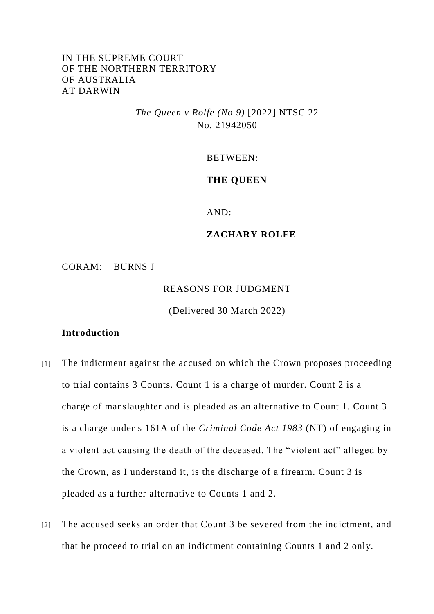# IN THE SUPREME COURT OF THE NORTHERN TERRITORY OF AUSTRALIA AT DARWIN

*The Queen v Rolfe (No 9)* [2022] NTSC 22 No. 21942050

BETWEEN:

#### **THE QUEEN**

AND:

#### **ZACHARY ROLFE**

CORAM: BURNS J

REASONS FOR JUDGMENT

(Delivered 30 March 2022)

## **Introduction**

- [1] The indictment against the accused on which the Crown proposes proceeding to trial contains 3 Counts. Count 1 is a charge of murder. Count 2 is a charge of manslaughter and is pleaded as an alternative to Count 1. Count 3 is a charge under s 161A of the *Criminal Code Act 1983* (NT) of engaging in a violent act causing the death of the deceased. The "violent act" alleged by the Crown, as I understand it, is the discharge of a firearm. Count 3 is pleaded as a further alternative to Counts 1 and 2.
- [2] The accused seeks an order that Count 3 be severed from the indictment, and that he proceed to trial on an indictment containing Counts 1 and 2 only.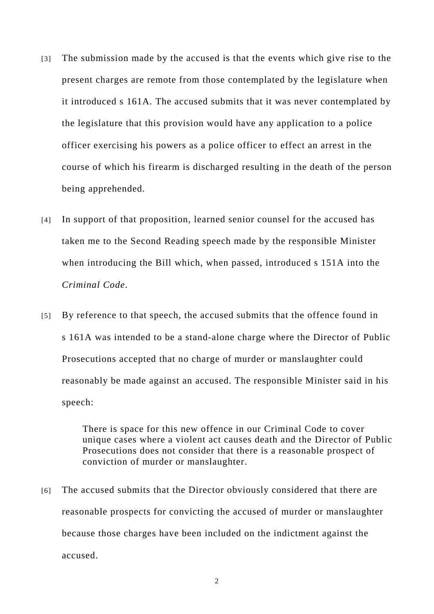- [3] The submission made by the accused is that the events which give rise to the present charges are remote from those contemplated by the legislature when it introduced s 161A. The accused submits that it was never contemplated by the legislature that this provision would have any application to a police officer exercising his powers as a police officer to effect an arrest in the course of which his firearm is discharged resulting in the death of the person being apprehended.
- [4] In support of that proposition, learned senior counsel for the accused has taken me to the Second Reading speech made by the responsible Minister when introducing the Bill which, when passed, introduced s 151A into the *Criminal Code*.
- [5] By reference to that speech, the accused submits that the offence found in s 161A was intended to be a stand-alone charge where the Director of Public Prosecutions accepted that no charge of murder or manslaughter could reasonably be made against an accused. The responsible Minister said in his speech:

There is space for this new offence in our Criminal Code to cover unique cases where a violent act causes death and the Director of Public Prosecutions does not consider that there is a reasonable prospect of conviction of murder or manslaughter.

[6] The accused submits that the Director obviously considered that there are reasonable prospects for convicting the accused of murder or manslaughter because those charges have been included on the indictment against the accused.

2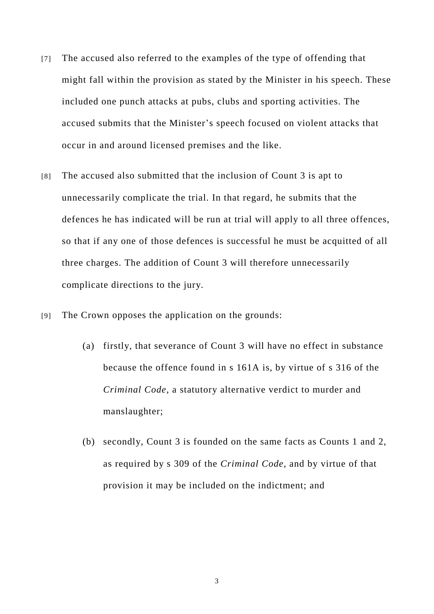- [7] The accused also referred to the examples of the type of offending that might fall within the provision as stated by the Minister in his speech. These included one punch attacks at pubs, clubs and sporting activities. The accused submits that the Minister's speech focused on violent attacks that occur in and around licensed premises and the like.
- [8] The accused also submitted that the inclusion of Count 3 is apt to unnecessarily complicate the trial. In that regard, he submits that the defences he has indicated will be run at trial will apply to all three offences, so that if any one of those defences is successful he must be acquitted of all three charges. The addition of Count 3 will therefore unnecessarily complicate directions to the jury.
- [9] The Crown opposes the application on the grounds:
	- (a) firstly, that severance of Count 3 will have no effect in substance because the offence found in s 161A is, by virtue of s 316 of the *Criminal Code*, a statutory alternative verdict to murder and manslaughter;
	- (b) secondly, Count 3 is founded on the same facts as Counts 1 and 2, as required by s 309 of the *Criminal Code*, and by virtue of that provision it may be included on the indictment; and

3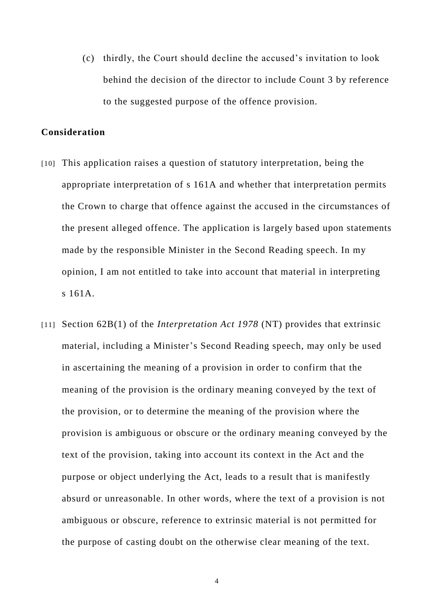(c) thirdly, the Court should decline the accused's invitation to look behind the decision of the director to include Count 3 by reference to the suggested purpose of the offence provision.

### **Consideration**

- [10] This application raises a question of statutory interpretation, being the appropriate interpretation of s 161A and whether that interpretation permits the Crown to charge that offence against the accused in the circumstances of the present alleged offence. The application is largely based upon statements made by the responsible Minister in the Second Reading speech. In my opinion, I am not entitled to take into account that material in interpreting s 161A.
- [11] Section 62B(1) of the *Interpretation Act 1978* (NT) provides that extrinsic material, including a Minister's Second Reading speech, may only be used in ascertaining the meaning of a provision in order to confirm that the meaning of the provision is the ordinary meaning conveyed by the text of the provision, or to determine the meaning of the provision where the provision is ambiguous or obscure or the ordinary meaning conveyed by the text of the provision, taking into account its context in the Act and the purpose or object underlying the Act, leads to a result that is manifestly absurd or unreasonable. In other words, where the text of a provision is not ambiguous or obscure, reference to extrinsic material is not permitted for the purpose of casting doubt on the otherwise clear meaning of the text.

4